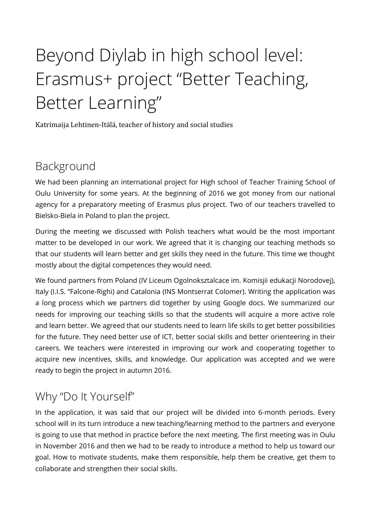# Beyond Diylab in high school level: Erasmus+ project "Better Teaching, Better Learning"

Katrimaija Lehtinen-Itälä, teacher of history and social studies

## Background

We had been planning an international project for High school of Teacher Training School of Oulu University for some years. At the beginning of 2016 we got money from our national agency for a preparatory meeting of Erasmus plus project. Two of our teachers travelled to Bielsko-Biela in Poland to plan the project.

During the meeting we discussed with Polish teachers what would be the most important matter to be developed in our work. We agreed that it is changing our teaching methods so that our students will learn better and get skills they need in the future. This time we thought mostly about the digital competences they would need.

We found partners from Poland (IV Liceum Ogolnoksztalcace im. Komisjii edukacji Norodovej), Italy (I.I.S. "Falcone-Righi) and Catalonia (INS Montserrat Colomer). Writing the application was a long process which we partners did together by using Google docs. We summarized our needs for improving our teaching skills so that the students will acquire a more active role and learn better. We agreed that our students need to learn life skills to get better possibilities for the future. They need better use of ICT, better social skills and better orienteering in their careers. We teachers were interested in improving our work and cooperating together to acquire new incentives, skills, and knowledge. Our application was accepted and we were ready to begin the project in autumn 2016.

### Why "Do It Yourself"

In the application, it was said that our project will be divided into 6-month periods. Every school will in its turn introduce a new teaching/learning method to the partners and everyone is going to use that method in practice before the next meeting. The first meeting was in Oulu in November 2016 and then we had to be ready to introduce a method to help us toward our goal. How to motivate students, make them responsible, help them be creative, get them to collaborate and strengthen their social skills.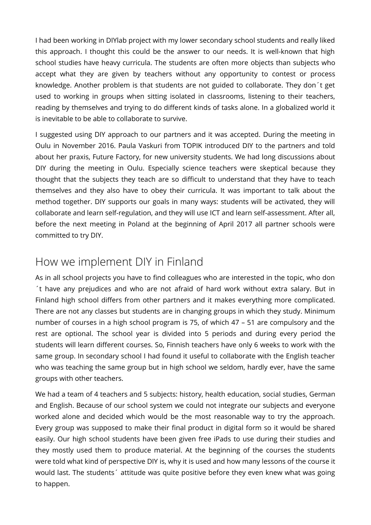I had been working in DIYlab project with my lower secondary school students and really liked this approach. I thought this could be the answer to our needs. It is well-known that high school studies have heavy curricula. The students are often more objects than subjects who accept what they are given by teachers without any opportunity to contest or process knowledge. Another problem is that students are not guided to collaborate. They don´t get used to working in groups when sitting isolated in classrooms, listening to their teachers, reading by themselves and trying to do diferent kinds of tasks alone. In a globalized world it is inevitable to be able to collaborate to survive.

I suggested using DIY approach to our partners and it was accepted. During the meeting in Oulu in November 2016. Paula Vaskuri from TOPIK introduced DIY to the partners and told about her praxis, Future Factory, for new university students. We had long discussions about DIY during the meeting in Oulu. Especially science teachers were skeptical because they thought that the subjects they teach are so difficult to understand that they have to teach themselves and they also have to obey their curricula. It was important to talk about the method together. DIY supports our goals in many ways: students will be activated, they will collaborate and learn self-regulation, and they will use ICT and learn self-assessment. After all, before the next meeting in Poland at the beginning of April 2017 all partner schools were committed to try DIY.

#### How we implement DIY in Finland

As in all school projects you have to find colleagues who are interested in the topic, who don ´t have any prejudices and who are not afraid of hard work without extra salary. But in Finland high school difers from other partners and it makes everything more complicated. There are not any classes but students are in changing groups in which they study. Minimum number of courses in a high school program is 75, of which 47 – 51 are compulsory and the rest are optional. The school year is divided into 5 periods and during every period the students will learn diferent courses. So, Finnish teachers have only 6 weeks to work with the same group. In secondary school I had found it useful to collaborate with the English teacher who was teaching the same group but in high school we seldom, hardly ever, have the same groups with other teachers.

We had a team of 4 teachers and 5 subjects: history, health education, social studies, German and English. Because of our school system we could not integrate our subjects and everyone worked alone and decided which would be the most reasonable way to try the approach. Every group was supposed to make their final product in digital form so it would be shared easily. Our high school students have been given free iPads to use during their studies and they mostly used them to produce material. At the beginning of the courses the students were told what kind of perspective DIY is, why it is used and how many lessons of the course it would last. The students<sup>2</sup> attitude was quite positive before they even knew what was going to happen.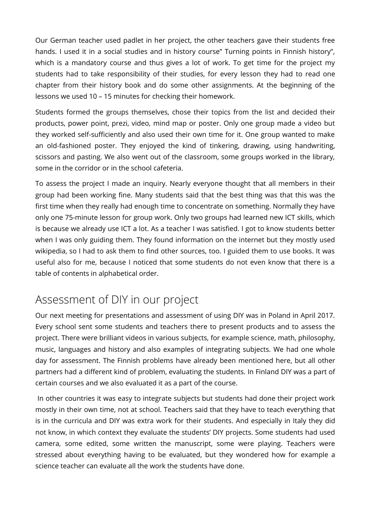Our German teacher used padlet in her project, the other teachers gave their students free hands. I used it in a social studies and in history course" Turning points in Finnish history", which is a mandatory course and thus gives a lot of work. To get time for the project my students had to take responsibility of their studies, for every lesson they had to read one chapter from their history book and do some other assignments. At the beginning of the lessons we used 10 – 15 minutes for checking their homework.

Students formed the groups themselves, chose their topics from the list and decided their products, power point, prezi, video, mind map or poster. Only one group made a video but they worked self-sufficiently and also used their own time for it. One group wanted to make an old-fashioned poster. They enjoyed the kind of tinkering, drawing, using handwriting, scissors and pasting. We also went out of the classroom, some groups worked in the library, some in the corridor or in the school cafeteria.

To assess the project I made an inquiry. Nearly everyone thought that all members in their group had been working fine. Many students said that the best thing was that this was the frst time when they really had enough time to concentrate on something. Normally they have only one 75-minute lesson for group work. Only two groups had learned new ICT skills, which is because we already use ICT a lot. As a teacher I was satisfed. I got to know students better when I was only guiding them. They found information on the internet but they mostly used wikipedia, so I had to ask them to find other sources, too. I guided them to use books. It was useful also for me, because I noticed that some students do not even know that there is a table of contents in alphabetical order.

#### Assessment of DIY in our project

Our next meeting for presentations and assessment of using DIY was in Poland in April 2017. Every school sent some students and teachers there to present products and to assess the project. There were brilliant videos in various subjects, for example science, math, philosophy, music, languages and history and also examples of integrating subjects. We had one whole day for assessment. The Finnish problems have already been mentioned here, but all other partners had a diferent kind of problem, evaluating the students. In Finland DIY was a part of certain courses and we also evaluated it as a part of the course.

 In other countries it was easy to integrate subjects but students had done their project work mostly in their own time, not at school. Teachers said that they have to teach everything that is in the curricula and DIY was extra work for their students. And especially in Italy they did not know, in which context they evaluate the students' DIY projects. Some students had used camera, some edited, some written the manuscript, some were playing. Teachers were stressed about everything having to be evaluated, but they wondered how for example a science teacher can evaluate all the work the students have done.